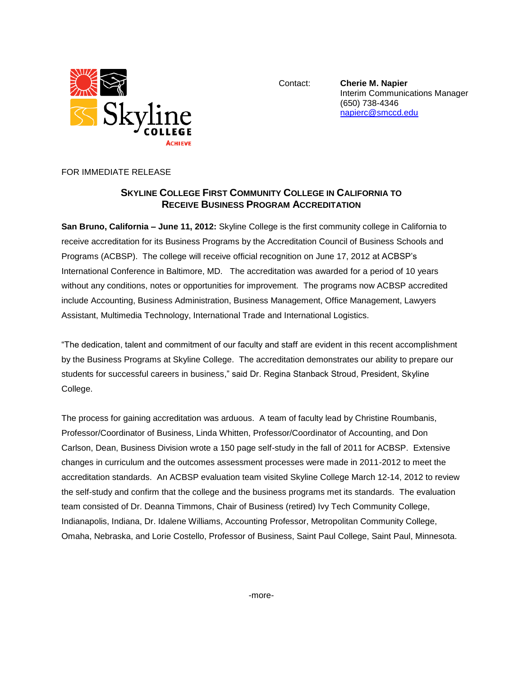

Contact: **Cherie M. Napier** Interim Communications Manager (650) 738-4346 [napierc@smccd.edu](mailto:napierc@smccd.edu)

FOR IMMEDIATE RELEASE

## **SKYLINE COLLEGE FIRST COMMUNITY COLLEGE IN CALIFORNIA TO RECEIVE BUSINESS PROGRAM ACCREDITATION**

**San Bruno, California – June 11, 2012:** Skyline College is the first community college in California to receive accreditation for its Business Programs by the Accreditation Council of Business Schools and Programs (ACBSP). The college will receive official recognition on June 17, 2012 at ACBSP's International Conference in Baltimore, MD. The accreditation was awarded for a period of 10 years without any conditions, notes or opportunities for improvement. The programs now ACBSP accredited include Accounting, Business Administration, Business Management, Office Management, Lawyers Assistant, Multimedia Technology, International Trade and International Logistics.

"The dedication, talent and commitment of our faculty and staff are evident in this recent accomplishment by the Business Programs at Skyline College. The accreditation demonstrates our ability to prepare our students for successful careers in business," said Dr. Regina Stanback Stroud, President, Skyline College.

The process for gaining accreditation was arduous. A team of faculty lead by Christine Roumbanis, Professor/Coordinator of Business, Linda Whitten, Professor/Coordinator of Accounting, and Don Carlson, Dean, Business Division wrote a 150 page self-study in the fall of 2011 for ACBSP. Extensive changes in curriculum and the outcomes assessment processes were made in 2011-2012 to meet the accreditation standards. An ACBSP evaluation team visited Skyline College March 12-14, 2012 to review the self-study and confirm that the college and the business programs met its standards. The evaluation team consisted of Dr. Deanna Timmons, Chair of Business (retired) Ivy Tech Community College, Indianapolis, Indiana, Dr. Idalene Williams, Accounting Professor, Metropolitan Community College, Omaha, Nebraska, and Lorie Costello, Professor of Business, Saint Paul College, Saint Paul, Minnesota.